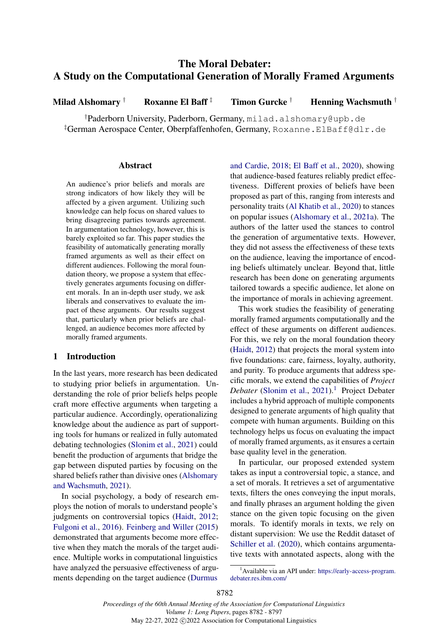# The Moral Debater: A Study on the Computational Generation of Morally Framed Arguments

Milad Alshomary † Roxanne El Baff  $\ddagger$  Timon Gurcke † Henning Wachsmuth  $\dagger$ 

†Paderborn University, Paderborn, Germany, milad.alshomary@upb.de ‡German Aerospace Center, Oberpfaffenhofen, Germany, Roxanne.ElBaff@dlr.de

### Abstract

An audience's prior beliefs and morals are strong indicators of how likely they will be affected by a given argument. Utilizing such knowledge can help focus on shared values to bring disagreeing parties towards agreement. In argumentation technology, however, this is barely exploited so far. This paper studies the feasibility of automatically generating morally framed arguments as well as their effect on different audiences. Following the moral foundation theory, we propose a system that effectively generates arguments focusing on different morals. In an in-depth user study, we ask liberals and conservatives to evaluate the impact of these arguments. Our results suggest that, particularly when prior beliefs are challenged, an audience becomes more affected by morally framed arguments.

# 1 Introduction

In the last years, more research has been dedicated to studying prior beliefs in argumentation. Understanding the role of prior beliefs helps people craft more effective arguments when targeting a particular audience. Accordingly, operationalizing knowledge about the audience as part of supporting tools for humans or realized in fully automated debating technologies [\(Slonim et al.,](#page-10-0) [2021\)](#page-10-0) could benefit the production of arguments that bridge the gap between disputed parties by focusing on the shared beliefs rather than divisive ones [\(Alshomary](#page-9-0) [and Wachsmuth,](#page-9-0) [2021\)](#page-9-0).

In social psychology, a body of research employs the notion of morals to understand people's judgments on controversial topics [\(Haidt,](#page-10-1) [2012;](#page-10-1) [Fulgoni et al.,](#page-9-1) [2016\)](#page-9-1). [Feinberg and Willer](#page-9-2) [\(2015\)](#page-9-2) demonstrated that arguments become more effective when they match the morals of the target audience. Multiple works in computational linguistics have analyzed the persuasive effectiveness of arguments depending on the target audience [\(Durmus](#page-9-3)

[and Cardie,](#page-9-3) [2018;](#page-9-3) [El Baff et al.,](#page-9-4) [2020\)](#page-9-4), showing that audience-based features reliably predict effectiveness. Different proxies of beliefs have been proposed as part of this, ranging from interests and personality traits [\(Al Khatib et al.,](#page-9-5) [2020\)](#page-9-5) to stances on popular issues [\(Alshomary et al.,](#page-9-6) [2021a\)](#page-9-6). The authors of the latter used the stances to control the generation of argumentative texts. However, they did not assess the effectiveness of these texts on the audience, leaving the importance of encoding beliefs ultimately unclear. Beyond that, little research has been done on generating arguments tailored towards a specific audience, let alone on the importance of morals in achieving agreement.

This work studies the feasibility of generating morally framed arguments computationally and the effect of these arguments on different audiences. For this, we rely on the moral foundation theory [\(Haidt,](#page-10-1) [2012\)](#page-10-1) that projects the moral system into five foundations: care, fairness, loyalty, authority, and purity. To produce arguments that address specific morals, we extend the capabilities of *Project Debater* [\(Slonim et al.,](#page-10-0) [2021\)](#page-10-0).<sup>[1](#page-0-0)</sup> Project Debater includes a hybrid approach of multiple components designed to generate arguments of high quality that compete with human arguments. Building on this technology helps us focus on evaluating the impact of morally framed arguments, as it ensures a certain base quality level in the generation.

In particular, our proposed extended system takes as input a controversial topic, a stance, and a set of morals. It retrieves a set of argumentative texts, filters the ones conveying the input morals, and finally phrases an argument holding the given stance on the given topic focusing on the given morals. To identify morals in texts, we rely on distant supervision: We use the Reddit dataset of [Schiller et al.](#page-10-2) [\(2020\)](#page-10-2), which contains argumentative texts with annotated aspects, along with the

<span id="page-0-0"></span><sup>&</sup>lt;sup>1</sup> Available via an API under: [https://early-access-program.](https://early-access-program.debater.res.ibm.com/) [debater.res.ibm.com/](https://early-access-program.debater.res.ibm.com/)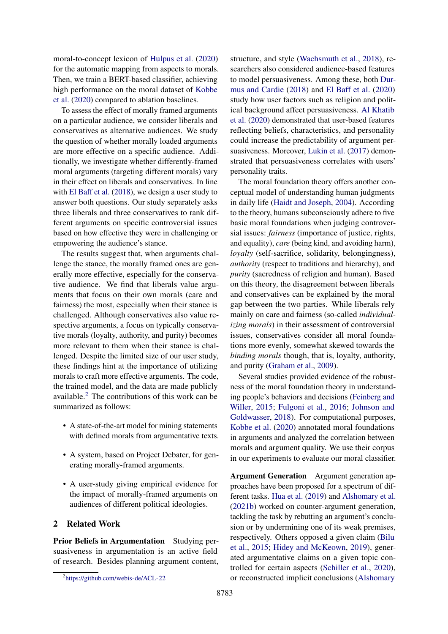moral-to-concept lexicon of [Hulpus et al.](#page-10-3) [\(2020\)](#page-10-3) for the automatic mapping from aspects to morals. Then, we train a BERT-based classifier, achieving high performance on the moral dataset of [Kobbe](#page-10-4) [et al.](#page-10-4) [\(2020\)](#page-10-4) compared to ablation baselines.

To assess the effect of morally framed arguments on a particular audience, we consider liberals and conservatives as alternative audiences. We study the question of whether morally loaded arguments are more effective on a specific audience. Additionally, we investigate whether differently-framed moral arguments (targeting different morals) vary in their effect on liberals and conservatives. In line with [El Baff et al.](#page-9-7) [\(2018\)](#page-9-7), we design a user study to answer both questions. Our study separately asks three liberals and three conservatives to rank different arguments on specific controversial issues based on how effective they were in challenging or empowering the audience's stance.

The results suggest that, when arguments challenge the stance, the morally framed ones are generally more effective, especially for the conservative audience. We find that liberals value arguments that focus on their own morals (care and fairness) the most, especially when their stance is challenged. Although conservatives also value respective arguments, a focus on typically conservative morals (loyalty, authority, and purity) becomes more relevant to them when their stance is challenged. Despite the limited size of our user study, these findings hint at the importance of utilizing morals to craft more effective arguments. The code, the trained model, and the data are made publicly available. $<sup>2</sup>$  $<sup>2</sup>$  $<sup>2</sup>$  The contributions of this work can be</sup> summarized as follows:

- A state-of-the-art model for mining statements with defined morals from argumentative texts.
- A system, based on Project Debater, for generating morally-framed arguments.
- A user-study giving empirical evidence for the impact of morally-framed arguments on audiences of different political ideologies.

### 2 Related Work

Prior Beliefs in Argumentation Studying persuasiveness in argumentation is an active field of research. Besides planning argument content,

structure, and style [\(Wachsmuth et al.,](#page-10-5) [2018\)](#page-10-5), researchers also considered audience-based features to model persuasiveness. Among these, both [Dur](#page-9-3)[mus and Cardie](#page-9-3) [\(2018\)](#page-9-3) and [El Baff et al.](#page-9-4) [\(2020\)](#page-9-4) study how user factors such as religion and political background affect persuasiveness. [Al Khatib](#page-9-5) [et al.](#page-9-5) [\(2020\)](#page-9-5) demonstrated that user-based features reflecting beliefs, characteristics, and personality could increase the predictability of argument persuasiveness. Moreover, [Lukin et al.](#page-10-6) [\(2017\)](#page-10-6) demonstrated that persuasiveness correlates with users' personality traits.

The moral foundation theory offers another conceptual model of understanding human judgments in daily life [\(Haidt and Joseph,](#page-10-7) [2004\)](#page-10-7). According to the theory, humans subconsciously adhere to five basic moral foundations when judging controversial issues: *fairness* (importance of justice, rights, and equality), *care* (being kind, and avoiding harm), *loyalty* (self-sacrifice, solidarity, belongingness), *authority* (respect to traditions and hierarchy), and *purity* (sacredness of religion and human). Based on this theory, the disagreement between liberals and conservatives can be explained by the moral gap between the two parties. While liberals rely mainly on care and fairness (so-called *individualizing morals*) in their assessment of controversial issues, conservatives consider all moral foundations more evenly, somewhat skewed towards the *binding morals* though, that is, loyalty, authority, and purity [\(Graham et al.,](#page-10-8) [2009\)](#page-10-8).

Several studies provided evidence of the robustness of the moral foundation theory in understanding people's behaviors and decisions [\(Feinberg and](#page-9-2) [Willer,](#page-9-2) [2015;](#page-9-2) [Fulgoni et al.,](#page-9-1) [2016;](#page-9-1) [Johnson and](#page-10-9) [Goldwasser,](#page-10-9) [2018\)](#page-10-9). For computational purposes, [Kobbe et al.](#page-10-4) [\(2020\)](#page-10-4) annotated moral foundations in arguments and analyzed the correlation between morals and argument quality. We use their corpus in our experiments to evaluate our moral classifier.

Argument Generation Argument generation approaches have been proposed for a spectrum of different tasks. [Hua et al.](#page-10-10) [\(2019\)](#page-10-10) and [Alshomary et al.](#page-9-8) [\(2021b\)](#page-9-8) worked on counter-argument generation, tackling the task by rebutting an argument's conclusion or by undermining one of its weak premises, respectively. Others opposed a given claim [\(Bilu](#page-9-9) [et al.,](#page-9-9) [2015;](#page-9-9) [Hidey and McKeown,](#page-10-11) [2019\)](#page-10-11), generated argumentative claims on a given topic controlled for certain aspects [\(Schiller et al.,](#page-10-2) [2020\)](#page-10-2), or reconstructed implicit conclusions [\(Alshomary](#page-9-10)

<span id="page-1-0"></span><sup>&</sup>lt;sup>2</sup><https://github.com/webis-de/ACL-22>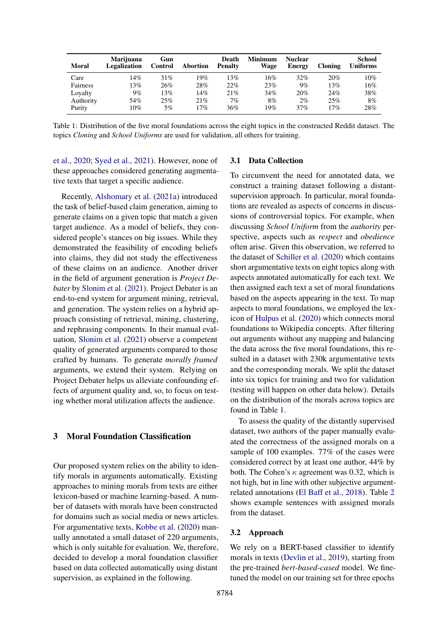<span id="page-2-0"></span>

| <b>Moral</b> | <b>Marijuana</b><br>Legalization | Gun<br>Control | Abortion | Death<br><b>Penalty</b> | <b>Minimum</b><br>Wage | <b>Nuclear</b><br><b>Energy</b> | Cloning | School<br><b>Uniforms</b> |
|--------------|----------------------------------|----------------|----------|-------------------------|------------------------|---------------------------------|---------|---------------------------|
| Care         | 14%                              | 31%            | 19%      | 13%                     | 16%                    | $32\%$                          | 20%     | 10%                       |
| Fairness     | 13%                              | 26%            | 28%      | $22\%$                  | 23%                    | 9%                              | 13%     | 16%                       |
| Loyalty      | $9\%$                            | 13%            | 14%      | 21%                     | 34%                    | 20%                             | 24%     | 38%                       |
| Authority    | 54%                              | 25%            | 21%      | $7\%$                   | 8%                     | 2%                              | 25%     | 8%                        |
| Purity       | 10%                              | 5%             | 17%      | 36%                     | 19%                    | 37%                             | 17%     | 28%                       |

Table 1: Distribution of the five moral foundations across the eight topics in the constructed Reddit dataset. The topics *Cloning* and *School Uniforms* are used for validation, all others for training.

[et al.,](#page-9-10) [2020;](#page-9-10) [Syed et al.,](#page-10-12) [2021\)](#page-10-12). However, none of these approaches considered generating augmentative texts that target a specific audience.

Recently, [Alshomary et al.](#page-9-6) [\(2021a\)](#page-9-6) introduced the task of belief-based claim generation, aiming to generate claims on a given topic that match a given target audience. As a model of beliefs, they considered people's stances on big issues. While they demonstrated the feasibility of encoding beliefs into claims, they did not study the effectiveness of these claims on an audience. Another driver in the field of argument generation is *Project Debater* by [Slonim et al.](#page-10-0) [\(2021\)](#page-10-0). Project Debater is an end-to-end system for argument mining, retrieval, and generation. The system relies on a hybrid approach consisting of retrieval, mining, clustering, and rephrasing components. In their manual evaluation, [Slonim et al.](#page-10-0) [\(2021\)](#page-10-0) observe a competent quality of generated arguments compared to those crafted by humans. To generate *morally framed* arguments, we extend their system. Relying on Project Debater helps us alleviate confounding effects of argument quality and, so, to focus on testing whether moral utilization affects the audience.

# <span id="page-2-1"></span>3 Moral Foundation Classification

Our proposed system relies on the ability to identify morals in arguments automatically. Existing approaches to mining morals from texts are either lexicon-based or machine learning-based. A number of datasets with morals have been constructed for domains such as social media or news articles. For argumentative texts, [Kobbe et al.](#page-10-4) [\(2020\)](#page-10-4) manually annotated a small dataset of 220 arguments, which is only suitable for evaluation. We, therefore, decided to develop a moral foundation classifier based on data collected automatically using distant supervision, as explained in the following.

### 3.1 Data Collection

To circumvent the need for annotated data, we construct a training dataset following a distantsupervision approach. In particular, moral foundations are revealed as aspects of concerns in discussions of controversial topics. For example, when discussing *School Uniform* from the *authority* perspective, aspects such as *respect* and *obedience* often arise. Given this observation, we referred to the dataset of [Schiller et al.](#page-10-2) [\(2020\)](#page-10-2) which contains short argumentative texts on eight topics along with aspects annotated automatically for each text. We then assigned each text a set of moral foundations based on the aspects appearing in the text. To map aspects to moral foundations, we employed the lexicon of [Hulpus et al.](#page-10-3) [\(2020\)](#page-10-3) which connects moral foundations to Wikipedia concepts. After filtering out arguments without any mapping and balancing the data across the five moral foundations, this resulted in a dataset with 230k argumentative texts and the corresponding morals. We split the dataset into six topics for training and two for validation (testing will happen on other data below). Details on the distribution of the morals across topics are found in Table [1.](#page-2-0)

To assess the quality of the distantly supervised dataset, two authors of the paper manually evaluated the correctness of the assigned morals on a sample of 100 examples. 77% of the cases were considered correct by at least one author, 44% by both. The Cohen's  $\kappa$  agreement was 0.32, which is not high, but in line with other subjective argumentrelated annotations [\(El Baff et al.,](#page-9-7) [2018\)](#page-9-7). Table [2](#page-3-0) shows example sentences with assigned morals from the dataset.

### 3.2 Approach

We rely on a BERT-based classifier to identify morals in texts [\(Devlin et al.,](#page-9-11) [2019\)](#page-9-11), starting from the pre-trained *bert-based-cased* model. We finetuned the model on our training set for three epochs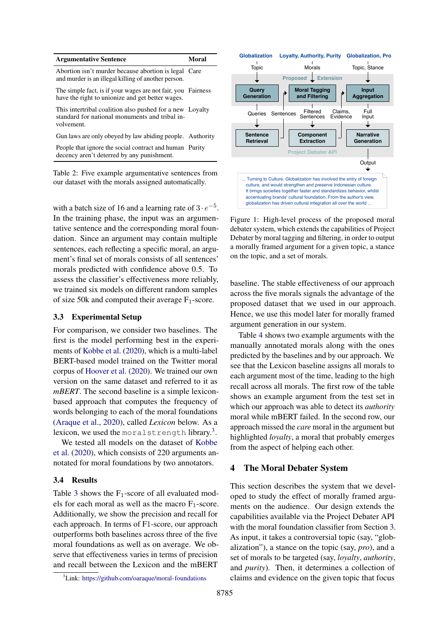<span id="page-3-0"></span>

| <b>Argumentative Sentence</b>                                                                                            | Moral |
|--------------------------------------------------------------------------------------------------------------------------|-------|
| Abortion isn't murder because abortion is legal Care<br>and murder is an illegal killing of another person.              |       |
| The simple fact, is if your wages are not fair, you Fairness<br>have the right to unionize and get better wages.         |       |
| This intertribal coalition also pushed for a new Loyalty<br>standard for national monuments and tribal in-<br>volvement. |       |
| Gun laws are only obeyed by law abiding people. Authority                                                                |       |
| People that ignore the social contract and human Purity<br>decency aren't deterred by any punishment.                    |       |
|                                                                                                                          |       |

Table 2: Five example argumentative sentences from our dataset with the morals assigned automatically.

with a batch size of 16 and a learning rate of  $3 \cdot e^{-5}$ . In the training phase, the input was an argumentative sentence and the corresponding moral foundation. Since an argument may contain multiple sentences, each reflecting a specific moral, an argument's final set of morals consists of all sentences' morals predicted with confidence above 0.5. To assess the classifier's effectiveness more reliably, we trained six models on different random samples of size 50k and computed their average  $F_1$ -score.

### 3.3 Experimental Setup

For comparison, we consider two baselines. The first is the model performing best in the experiments of [Kobbe et al.](#page-10-4) [\(2020\)](#page-10-4), which is a multi-label BERT-based model trained on the Twitter moral corpus of [Hoover et al.](#page-10-13) [\(2020\)](#page-10-13). We trained our own version on the same dataset and referred to it as *mBERT*. The second baseline is a simple lexiconbased approach that computes the frequency of words belonging to each of the moral foundations [\(Araque et al.,](#page-9-12) [2020\)](#page-9-12), called *Lexicon* below. As a lexicon, we used the moralstrength library.<sup>[3](#page-3-1)</sup>.

We tested all models on the dataset of [Kobbe](#page-10-4) [et al.](#page-10-4) [\(2020\)](#page-10-4), which consists of 220 arguments annotated for moral foundations by two annotators.

### 3.4 Results

Table [3](#page-4-0) shows the  $F_1$ -score of all evaluated models for each moral as well as the macro  $F_1$ -score. Additionally, we show the precision and recall for each approach. In terms of F1-score, our approach outperforms both baselines across three of the five moral foundations as well as on average. We observe that effectiveness varies in terms of precision and recall between the Lexicon and the mBERT

<span id="page-3-1"></span><sup>3</sup>Link: <https://github.com/oaraque/moral-foundations>

<span id="page-3-2"></span>

Figure 1: High-level process of the proposed moral debater system, which extends the capabilities of Project Debater by moral tagging and filtering, in order to output a morally framed argument for a given topic, a stance on the topic, and a set of morals.

baseline. The stable effectiveness of our approach across the five morals signals the advantage of the proposed dataset that we used in our approach. Hence, we use this model later for morally framed argument generation in our system.

Table [4](#page-4-1) shows two example arguments with the manually annotated morals along with the ones predicted by the baselines and by our approach. We see that the Lexicon baseline assigns all morals to each argument most of the time, leading to the high recall across all morals. The first row of the table shows an example argument from the test set in which our approach was able to detect its *authority* moral while mBERT failed. In the second row, our approach missed the *care* moral in the argument but highlighted *loyalty*, a moral that probably emerges from the aspect of helping each other.

### 4 The Moral Debater System

This section describes the system that we developed to study the effect of morally framed arguments on the audience. Our design extends the capabilities available via the Project Debater API with the moral foundation classifier from Section [3.](#page-2-1) As input, it takes a controversial topic (say, "globalization"), a stance on the topic (say, *pro*), and a set of morals to be targeted (say, *loyalty*, *authority*, and *purity*). Then, it determines a collection of claims and evidence on the given topic that focus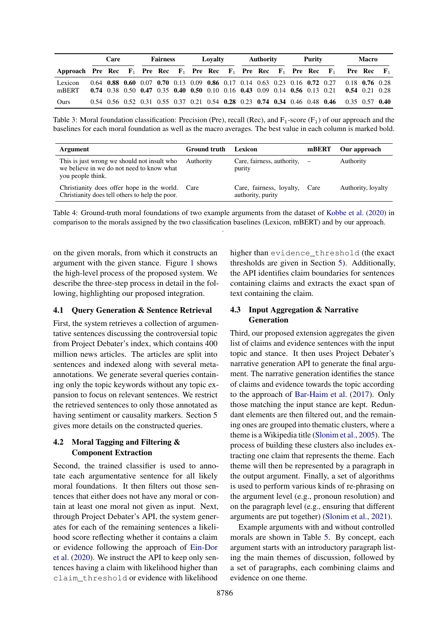<span id="page-4-0"></span>

|                                                                                | Care |  | <b>Fairness</b> | Lovalty |  | Authority |  | Purity |  | <b>Macro</b> |  |  |                                                                              |                                                                                                               |  |  |
|--------------------------------------------------------------------------------|------|--|-----------------|---------|--|-----------|--|--------|--|--------------|--|--|------------------------------------------------------------------------------|---------------------------------------------------------------------------------------------------------------|--|--|
| Approach Pre Rec $F_1$ Pre Rec $F_1$ Pre Rec $F_1$ Pre Rec $F_1$ Pre Rec $F_1$ |      |  |                 |         |  |           |  |        |  |              |  |  |                                                                              | <b>Pre Rec</b> $F_1$                                                                                          |  |  |
| Lexicon<br>mBERT                                                               |      |  |                 |         |  |           |  |        |  |              |  |  | $0.64$ 0.88 0.60 0.07 0.70 0.13 0.09 0.86 0.17 0.14 0.63 0.23 0.16 0.72 0.27 | $0.18$ 0.76 0.28<br>0.74 0.38 0.50 0.47 0.35 0.40 0.50 0.10 0.16 0.43 0.09 0.14 0.56 0.13 0.21 0.54 0.21 0.28 |  |  |
| Ours                                                                           |      |  |                 |         |  |           |  |        |  |              |  |  |                                                                              | 0.54 0.56 0.52 0.31 0.55 0.37 0.21 0.54 0.28 0.23 0.74 0.34 0.46 0.48 0.46 0.35 0.57 0.40                     |  |  |

Table 3: Moral foundation classification: Precision (Pre), recall (Rec), and  $F_1$ -score ( $F_1$ ) of our approach and the baselines for each moral foundation as well as the macro averages. The best value in each column is marked bold.

<span id="page-4-1"></span>

| Argument                                                                                                      | Ground truth | Lexicon                                            | mBERT | Our approach       |
|---------------------------------------------------------------------------------------------------------------|--------------|----------------------------------------------------|-------|--------------------|
| This is just wrong we should not insult who<br>we believe in we do not need to know what<br>you people think. | Authority    | Care, fairness, authority, $-$<br>purity           |       | Authority          |
| Christianity does offer hope in the world. Care<br>Christianity does tell others to help the poor.            |              | Care, fairness, loyalty, Care<br>authority, purity |       | Authority, loyalty |

Table 4: Ground-truth moral foundations of two example arguments from the dataset of [Kobbe et al.](#page-10-4) [\(2020\)](#page-10-4) in comparison to the morals assigned by the two classification baselines (Lexicon, mBERT) and by our approach. .

on the given morals, from which it constructs an argument with the given stance. Figure [1](#page-3-2) shows the high-level process of the proposed system. We describe the three-step process in detail in the following, highlighting our proposed integration.

### 4.1 Query Generation & Sentence Retrieval

First, the system retrieves a collection of argumentative sentences discussing the controversial topic from Project Debater's index, which contains 400 million news articles. The articles are split into sentences and indexed along with several metaannotations. We generate several queries containing only the topic keywords without any topic expansion to focus on relevant sentences. We restrict the retrieved sentences to only those annotated as having sentiment or causality markers. Section 5 gives more details on the constructed queries.

# 4.2 Moral Tagging and Filtering & Component Extraction

Second, the trained classifier is used to annotate each argumentative sentence for all likely moral foundations. It then filters out those sentences that either does not have any moral or contain at least one moral not given as input. Next, through Project Debater's API, the system generates for each of the remaining sentences a likelihood score reflecting whether it contains a claim or evidence following the approach of [Ein-Dor](#page-9-13) [et al.](#page-9-13) [\(2020\)](#page-9-13). We instruct the API to keep only sentences having a claim with likelihood higher than claim\_threshold or evidence with likelihood

higher than evidence\_threshold (the exact thresholds are given in Section [5\)](#page-5-0). Additionally, the API identifies claim boundaries for sentences containing claims and extracts the exact span of text containing the claim.

# 4.3 Input Aggregation & Narrative Generation

Third, our proposed extension aggregates the given list of claims and evidence sentences with the input topic and stance. It then uses Project Debater's narrative generation API to generate the final argument. The narrative generation identifies the stance of claims and evidence towards the topic according to the approach of [Bar-Haim et al.](#page-9-14) [\(2017\)](#page-9-14). Only those matching the input stance are kept. Redundant elements are then filtered out, and the remaining ones are grouped into thematic clusters, where a theme is a Wikipedia title [\(Slonim et al.,](#page-10-14) [2005\)](#page-10-14). The process of building these clusters also includes extracting one claim that represents the theme. Each theme will then be represented by a paragraph in the output argument. Finally, a set of algorithms is used to perform various kinds of re-phrasing on the argument level (e.g., pronoun resolution) and on the paragraph level (e.g., ensuring that different arguments are put together) [\(Slonim et al.,](#page-10-0) [2021\)](#page-10-0).

Example arguments with and without controlled morals are shown in Table [5.](#page-5-1) By concept, each argument starts with an introductory paragraph listing the main themes of discussion, followed by a set of paragraphs, each combining claims and evidence on one theme.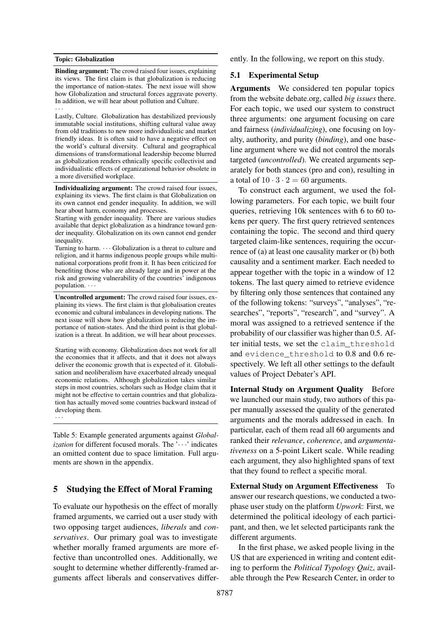### <span id="page-5-1"></span>Topic: Globalization

Binding argument: The crowd raised four issues, explaining its views. The first claim is that globalization is reducing the importance of nation-states. The next issue will show how Globalization and structural forces aggravate poverty. In addition, we will hear about pollution and Culture. · · ·

Lastly, Culture. Globalization has destabilized previously immutable social institutions, shifting cultural value away from old traditions to new more individualistic and market friendly ideas. It is often said to have a negative effect on the world's cultural diversity. Cultural and geographical dimensions of transformational leadership become blurred as globalization renders ethnically specific collectivist and individualistic effects of organizational behavior obsolete in a more diversified workplace.

Individualizing argument: The crowd raised four issues, explaining its views. The first claim is that Globalization on its own cannot end gender inequality. In addition, we will hear about harm, economy and processes.

Starting with gender inequality. There are various studies available that depict globalization as a hindrance toward gender inequality. Globalization on its own cannot end gender inequality.

Turning to harm.  $\cdots$  Globalization is a threat to culture and religion, and it harms indigenous people groups while multinational corporations profit from it. It has been criticized for benefiting those who are already large and in power at the risk and growing vulnerability of the countries' indigenous population.  $\cdots$ 

Uncontrolled argument: The crowd raised four issues, explaining its views. The first claim is that globalisation creates economic and cultural imbalances in developing nations. The next issue will show how globalization is reducing the importance of nation-states. And the third point is that globalization is a threat. In addition, we will hear about processes.

Starting with economy. Globalization does not work for all the economies that it affects, and that it does not always deliver the economic growth that is expected of it. Globalisation and neoliberalism have exacerbated already unequal economic relations. Although globalization takes similar steps in most countries, scholars such as Hodge claim that it might not be effective to certain countries and that globalization has actually moved some countries backward instead of developing them. · · ·

Table 5: Example generated arguments against *Globalization* for different focused morals. The '···' indicates an omitted content due to space limitation. Full arguments are shown in the appendix.

### <span id="page-5-0"></span>5 Studying the Effect of Moral Framing

To evaluate our hypothesis on the effect of morally framed arguments, we carried out a user study with two opposing target audiences, *liberals* and *conservatives*. Our primary goal was to investigate whether morally framed arguments are more effective than uncontrolled ones. Additionally, we sought to determine whether differently-framed arguments affect liberals and conservatives differently. In the following, we report on this study.

### 5.1 Experimental Setup

Arguments We considered ten popular topics from the website debate.org, called *big issues* there. For each topic, we used our system to construct three arguments: one argument focusing on care and fairness (*individualizing*), one focusing on loyalty, authority, and purity (*binding*), and one baseline argument where we did not control the morals targeted (*uncontrolled*). We created arguments separately for both stances (pro and con), resulting in a total of  $10 \cdot 3 \cdot 2 = 60$  arguments.

To construct each argument, we used the following parameters. For each topic, we built four queries, retrieving 10k sentences with 6 to 60 tokens per query. The first query retrieved sentences containing the topic. The second and third query targeted claim-like sentences, requiring the occurrence of (a) at least one causality marker or (b) both causality and a sentiment marker. Each needed to appear together with the topic in a window of 12 tokens. The last query aimed to retrieve evidence by filtering only those sentences that contained any of the following tokens: "surveys", "analyses", "researches", "reports", "research", and "survey". A moral was assigned to a retrieved sentence if the probability of our classifier was higher than 0.5. After initial tests, we set the claim\_threshold and evidence\_threshold to 0.8 and 0.6 respectively. We left all other settings to the default values of Project Debater's API.

Internal Study on Argument Quality Before we launched our main study, two authors of this paper manually assessed the quality of the generated arguments and the morals addressed in each. In particular, each of them read all 60 arguments and ranked their *relevance*, *coherence*, and *argumentativeness* on a 5-point Likert scale. While reading each argument, they also highlighted spans of text that they found to reflect a specific moral.

External Study on Argument Effectiveness To answer our research questions, we conducted a twophase user study on the platform *Upwork*: First, we determined the political ideology of each participant, and then, we let selected participants rank the different arguments.

In the first phase, we asked people living in the US that are experienced in writing and content editing to perform the *Political Typology Quiz*, available through the Pew Research Center, in order to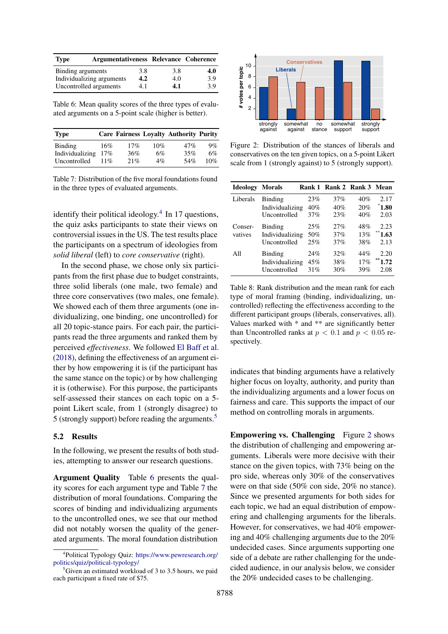<span id="page-6-2"></span>

| Type                   | Argumentativeness Relevance Coherence |     |     |     |
|------------------------|---------------------------------------|-----|-----|-----|
| Binding arguments      |                                       | 3.8 | 3.8 | 4.0 |
|                        | Individualizing arguments             | 4.2 | 4.0 | 3.9 |
| Uncontrolled arguments |                                       | 4.1 | 4.1 | 3.9 |

Table 6: Mean quality scores of the three types of evaluated arguments on a 5-point scale (higher is better).

<span id="page-6-3"></span>

| <b>Type</b>     |        |     |       | <b>Care Fairness Loyalty Authority Purity</b> |       |
|-----------------|--------|-----|-------|-----------------------------------------------|-------|
| Binding         | 16%    | 17% | 10%   | 47%                                           | $9\%$ |
| Individualizing | 17%    | 36% | 6%    | 35%                                           | 6%    |
| Uncontrolled    | $11\%$ | 21% | $4\%$ | 54%                                           | 10%   |

Table 7: Distribution of the five moral foundations found in the three types of evaluated arguments.

identify their political ideology. $4$  In 17 questions, the quiz asks participants to state their views on controversial issues in the US. The test results place the participants on a spectrum of ideologies from *solid liberal* (left) to *core conservative* (right).

In the second phase, we chose only six participants from the first phase due to budget constraints, three solid liberals (one male, two female) and three core conservatives (two males, one female). We showed each of them three arguments (one individualizing, one binding, one uncontrolled) for all 20 topic-stance pairs. For each pair, the participants read the three arguments and ranked them by perceived *effectiveness*. We followed [El Baff et al.](#page-9-7) [\(2018\)](#page-9-7), defining the effectiveness of an argument either by how empowering it is (if the participant has the same stance on the topic) or by how challenging it is (otherwise). For this purpose, the participants self-assessed their stances on each topic on a 5 point Likert scale, from 1 (strongly disagree) to 5 (strongly support) before reading the arguments.[5](#page-6-1)

### 5.2 Results

In the following, we present the results of both studies, attempting to answer our research questions.

Argument Quality Table [6](#page-6-2) presents the quality scores for each argument type and Table [7](#page-6-3) the distribution of moral foundations. Comparing the scores of binding and individualizing arguments to the uncontrolled ones, we see that our method did not notably worsen the quality of the generated arguments. The moral foundation distribution

<span id="page-6-4"></span>

Figure 2: Distribution of the stances of liberals and conservatives on the ten given topics, on a 5-point Likert scale from 1 (strongly against) to 5 (strongly support).

<span id="page-6-5"></span>

| <b>Ideology</b> | <b>Morals</b>   |     | Rank 1 Rank 2 Rank 3 Mean |     |            |
|-----------------|-----------------|-----|---------------------------|-----|------------|
| Liberals        | Binding         | 23% | 37%                       | 40% | 2.17       |
|                 | Individualizing | 40% | 40%                       | 20% | 1.80       |
|                 | Uncontrolled    | 37% | 23%                       | 40% | 2.03       |
| Conser-         | Binding         | 25% | 27%                       | 48% | 2.23       |
| vatives         | Individualizing | 50% | 37%                       | 13% | **<br>1.63 |
|                 | Uncontrolled    | 25% | 37%                       | 38% | 2.13       |
| All             | <b>Binding</b>  | 24% | 32%                       | 44% | 2.20       |
|                 | Individualizing | 45% | 38%                       | 17% | 1.72       |
|                 | Uncontrolled    | 31% | 30%                       | 39% | 2.08       |

Table 8: Rank distribution and the mean rank for each type of moral framing (binding, individualizing, uncontrolled) reflecting the effectiveness according to the different participant groups (liberals, conservatives, all). Values marked with \* and \*\* are significantly better than Uncontrolled ranks at  $p < 0.1$  and  $p < 0.05$  respectively.

indicates that binding arguments have a relatively higher focus on loyalty, authority, and purity than the individualizing arguments and a lower focus on fairness and care. This supports the impact of our method on controlling morals in arguments.

Empowering vs. Challenging Figure [2](#page-6-4) shows the distribution of challenging and empowering arguments. Liberals were more decisive with their stance on the given topics, with 73% being on the pro side, whereas only 30% of the conservatives were on that side (50% con side, 20% no stance). Since we presented arguments for both sides for each topic, we had an equal distribution of empowering and challenging arguments for the liberals. However, for conservatives, we had 40% empowering and 40% challenging arguments due to the 20% undecided cases. Since arguments supporting one side of a debate are rather challenging for the undecided audience, in our analysis below, we consider the 20% undecided cases to be challenging.

<span id="page-6-0"></span><sup>4</sup> Political Typology Quiz: [https://www.pewresearch.org/]( https://www.pewresearch.org/politics/quiz/political-typology/) [politics/quiz/political-typology/]( https://www.pewresearch.org/politics/quiz/political-typology/)

<span id="page-6-1"></span> $5$ Given an estimated workload of 3 to 3.5 hours, we paid each participant a fixed rate of \$75.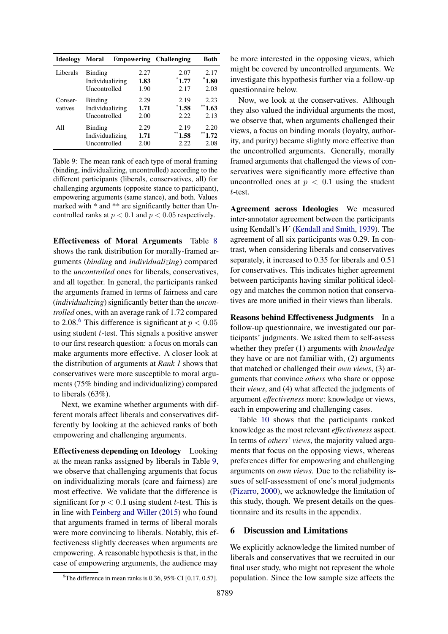<span id="page-7-1"></span>

| <b>Ideology</b>    | Moral                                      | <b>Empowering</b>    | <b>Challenging</b>         | <b>Both</b>                    |
|--------------------|--------------------------------------------|----------------------|----------------------------|--------------------------------|
| Liberals           | Binding<br>Individualizing<br>Uncontrolled | 2.27<br>1.83<br>1.90 | 2.07<br>$^*1.77$<br>2.17   | 2.17<br>$\degree$ 1.80<br>2.03 |
| Conser-<br>vatives | Binding<br>Individualizing<br>Uncontrolled | 2.29<br>1.71<br>2.00 | 2.19<br>$^*1.58$<br>2.22.  | 2.23<br>**<br>1.63<br>2.13     |
| All                | Binding<br>Individualizing<br>Uncontrolled | 2.29<br>1.71<br>2.00 | 2.19<br>**<br>1.58<br>2.22 | 2.20<br>**<br>1.72<br>2.08     |

Table 9: The mean rank of each type of moral framing (binding, individualizing, uncontrolled) according to the different participants (liberals, conservatives, all) for challenging arguments (opposite stance to participant), empowering arguments (same stance), and both. Values marked with \* and \*\* are significantly better than Uncontrolled ranks at  $p < 0.1$  and  $p < 0.05$  respectively.

Effectiveness of Moral Arguments Table [8](#page-6-5) shows the rank distribution for morally-framed arguments (*binding* and *individualizing*) compared to the *uncontrolled* ones for liberals, conservatives, and all together. In general, the participants ranked the arguments framed in terms of fairness and care (*individualizing*) significantly better than the *uncontrolled* ones, with an average rank of 1.72 compared to 2.08.<sup>[6](#page-7-0)</sup> This difference is significant at  $p < 0.05$ using student  $t$ -test. This signals a positive answer to our first research question: a focus on morals can make arguments more effective. A closer look at the distribution of arguments at *Rank 1* shows that conservatives were more susceptible to moral arguments (75% binding and individualizing) compared to liberals (63%).

Next, we examine whether arguments with different morals affect liberals and conservatives differently by looking at the achieved ranks of both empowering and challenging arguments.

Effectiveness depending on Ideology Looking at the mean ranks assigned by liberals in Table [9,](#page-7-1) we observe that challenging arguments that focus on individualizing morals (care and fairness) are most effective. We validate that the difference is significant for  $p < 0.1$  using student t-test. This is in line with [Feinberg and Willer](#page-9-2) [\(2015\)](#page-9-2) who found that arguments framed in terms of liberal morals were more convincing to liberals. Notably, this effectiveness slightly decreases when arguments are empowering. A reasonable hypothesis is that, in the case of empowering arguments, the audience may

be more interested in the opposing views, which might be covered by uncontrolled arguments. We investigate this hypothesis further via a follow-up questionnaire below.

Now, we look at the conservatives. Although they also valued the individual arguments the most, we observe that, when arguments challenged their views, a focus on binding morals (loyalty, authority, and purity) became slightly more effective than the uncontrolled arguments. Generally, morally framed arguments that challenged the views of conservatives were significantly more effective than uncontrolled ones at  $p < 0.1$  using the student t-test.

Agreement across Ideologies We measured inter-annotator agreement between the participants using Kendall's W [\(Kendall and Smith,](#page-10-15) [1939\)](#page-10-15). The agreement of all six participants was 0.29. In contrast, when considering liberals and conservatives separately, it increased to 0.35 for liberals and 0.51 for conservatives. This indicates higher agreement between participants having similar political ideology and matches the common notion that conservatives are more unified in their views than liberals.

Reasons behind Effectiveness Judgments In a follow-up questionnaire, we investigated our participants' judgments. We asked them to self-assess whether they prefer (1) arguments with *knowledge* they have or are not familiar with, (2) arguments that matched or challenged their *own views*, (3) arguments that convince *others* who share or oppose their *views*, and (4) what affected the judgments of argument *effectiveness* more: knowledge or views, each in empowering and challenging cases.

Table [10](#page-8-0) shows that the participants ranked knowledge as the most relevant *effectiveness* aspect. In terms of *others' views*, the majority valued arguments that focus on the opposing views, whereas preferences differ for empowering and challenging arguments on *own views*. Due to the reliability issues of self-assessment of one's moral judgments [\(Pizarro,](#page-10-16) [2000\)](#page-10-16), we acknowledge the limitation of this study, though. We present details on the questionnaire and its results in the appendix.

### 6 Discussion and Limitations

We explicitly acknowledge the limited number of liberals and conservatives that we recruited in our final user study, who might not represent the whole population. Since the low sample size affects the

<span id="page-7-0"></span><sup>&</sup>lt;sup>6</sup>The difference in mean ranks is 0.36, 95% CI [0.17, 0.57].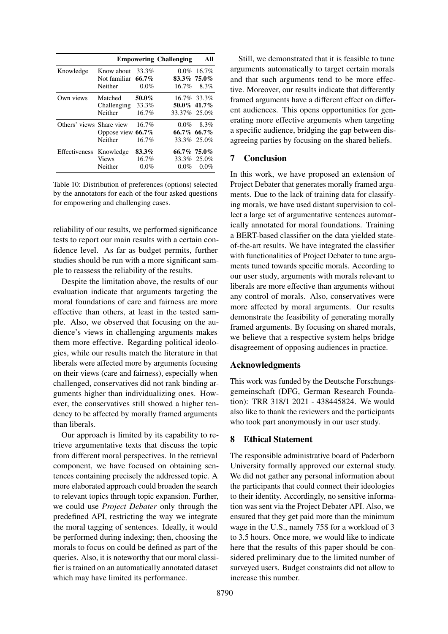<span id="page-8-0"></span>

|                          |                                       |                              | <b>Empowering Challenging</b> | All                    |
|--------------------------|---------------------------------------|------------------------------|-------------------------------|------------------------|
| Knowledge                | Know about<br>Not familiar<br>Neither | 33.3%<br>$66.7\%$<br>$0.0\%$ | 83.3% 75.0%<br>$16.7\%$       | $0.0\%$ 16.7\%<br>8.3% |
| Own views                | Matched<br>Challenging<br>Neither     | 50.0%<br>33.3%<br>16.7%      | 50.0% 41.7%<br>33.37% 25.0%   | 16.7% 33.3%            |
| Others' views Share view | Oppose view 66.7%<br>Neither          | 16.7%<br>16.7%               | $0.0\%$<br>66.7% 66.7%        | 8.3%<br>33.3% 25.0%    |
| Effectiveness            | Knowledge<br><b>Views</b><br>Neither  | 83.3%<br>16.7%<br>$0.0\%$    | 66.7% 75.0%<br>$0.0\%$        | 33.3% 25.0%<br>$0.0\%$ |

Table 10: Distribution of preferences (options) selected by the annotators for each of the four asked questions for empowering and challenging cases.

reliability of our results, we performed significance tests to report our main results with a certain confidence level. As far as budget permits, further studies should be run with a more significant sample to reassess the reliability of the results.

Despite the limitation above, the results of our evaluation indicate that arguments targeting the moral foundations of care and fairness are more effective than others, at least in the tested sample. Also, we observed that focusing on the audience's views in challenging arguments makes them more effective. Regarding political ideologies, while our results match the literature in that liberals were affected more by arguments focusing on their views (care and fairness), especially when challenged, conservatives did not rank binding arguments higher than individualizing ones. However, the conservatives still showed a higher tendency to be affected by morally framed arguments than liberals.

Our approach is limited by its capability to retrieve argumentative texts that discuss the topic from different moral perspectives. In the retrieval component, we have focused on obtaining sentences containing precisely the addressed topic. A more elaborated approach could broaden the search to relevant topics through topic expansion. Further, we could use *Project Debater* only through the predefined API, restricting the way we integrate the moral tagging of sentences. Ideally, it would be performed during indexing; then, choosing the morals to focus on could be defined as part of the queries. Also, it is noteworthy that our moral classifier is trained on an automatically annotated dataset which may have limited its performance.

Still, we demonstrated that it is feasible to tune arguments automatically to target certain morals and that such arguments tend to be more effective. Moreover, our results indicate that differently framed arguments have a different effect on different audiences. This opens opportunities for generating more effective arguments when targeting a specific audience, bridging the gap between disagreeing parties by focusing on the shared beliefs.

### 7 Conclusion

In this work, we have proposed an extension of Project Debater that generates morally framed arguments. Due to the lack of training data for classifying morals, we have used distant supervision to collect a large set of argumentative sentences automatically annotated for moral foundations. Training a BERT-based classifier on the data yielded stateof-the-art results. We have integrated the classifier with functionalities of Project Debater to tune arguments tuned towards specific morals. According to our user study, arguments with morals relevant to liberals are more effective than arguments without any control of morals. Also, conservatives were more affected by moral arguments. Our results demonstrate the feasibility of generating morally framed arguments. By focusing on shared morals, we believe that a respective system helps bridge disagreement of opposing audiences in practice.

# Acknowledgments

This work was funded by the Deutsche Forschungsgemeinschaft (DFG, German Research Foundation): TRR 318/1 2021 - 438445824. We would also like to thank the reviewers and the participants who took part anonymously in our user study.

# 8 Ethical Statement

The responsible administrative board of Paderborn University formally approved our external study. We did not gather any personal information about the participants that could connect their ideologies to their identity. Accordingly, no sensitive information was sent via the Project Debater API. Also, we ensured that they get paid more than the minimum wage in the U.S., namely 75\$ for a workload of 3 to 3.5 hours. Once more, we would like to indicate here that the results of this paper should be considered preliminary due to the limited number of surveyed users. Budget constraints did not allow to increase this number.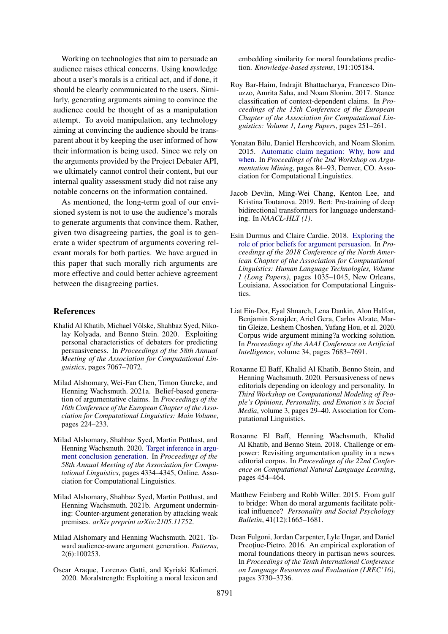Working on technologies that aim to persuade an audience raises ethical concerns. Using knowledge about a user's morals is a critical act, and if done, it should be clearly communicated to the users. Similarly, generating arguments aiming to convince the audience could be thought of as a manipulation attempt. To avoid manipulation, any technology aiming at convincing the audience should be transparent about it by keeping the user informed of how their information is being used. Since we rely on the arguments provided by the Project Debater API, we ultimately cannot control their content, but our internal quality assessment study did not raise any notable concerns on the information contained.

As mentioned, the long-term goal of our envisioned system is not to use the audience's morals to generate arguments that convince them. Rather, given two disagreeing parties, the goal is to generate a wider spectrum of arguments covering relevant morals for both parties. We have argued in this paper that such morally rich arguments are more effective and could better achieve agreement between the disagreeing parties.

### References

- <span id="page-9-5"></span>Khalid Al Khatib, Michael Völske, Shahbaz Syed, Nikolay Kolyada, and Benno Stein. 2020. Exploiting personal characteristics of debaters for predicting persuasiveness. In *Proceedings of the 58th Annual Meeting of the Association for Computational Linguistics*, pages 7067–7072.
- <span id="page-9-6"></span>Milad Alshomary, Wei-Fan Chen, Timon Gurcke, and Henning Wachsmuth. 2021a. Belief-based generation of argumentative claims. In *Proceedings of the 16th Conference of the European Chapter of the Association for Computational Linguistics: Main Volume*, pages 224–233.
- <span id="page-9-10"></span>Milad Alshomary, Shahbaz Syed, Martin Potthast, and Henning Wachsmuth. 2020. [Target inference in argu](https://doi.org/10.18653/v1/2020.acl-main.399)[ment conclusion generation.](https://doi.org/10.18653/v1/2020.acl-main.399) In *Proceedings of the 58th Annual Meeting of the Association for Computational Linguistics*, pages 4334–4345, Online. Association for Computational Linguistics.
- <span id="page-9-8"></span>Milad Alshomary, Shahbaz Syed, Martin Potthast, and Henning Wachsmuth. 2021b. Argument undermining: Counter-argument generation by attacking weak premises. *arXiv preprint arXiv:2105.11752*.
- <span id="page-9-0"></span>Milad Alshomary and Henning Wachsmuth. 2021. Toward audience-aware argument generation. *Patterns*, 2(6):100253.
- <span id="page-9-12"></span>Oscar Araque, Lorenzo Gatti, and Kyriaki Kalimeri. 2020. Moralstrength: Exploiting a moral lexicon and

embedding similarity for moral foundations prediction. *Knowledge-based systems*, 191:105184.

- <span id="page-9-14"></span>Roy Bar-Haim, Indrajit Bhattacharya, Francesco Dinuzzo, Amrita Saha, and Noam Slonim. 2017. Stance classification of context-dependent claims. In *Proceedings of the 15th Conference of the European Chapter of the Association for Computational Linguistics: Volume 1, Long Papers*, pages 251–261.
- <span id="page-9-9"></span>Yonatan Bilu, Daniel Hershcovich, and Noam Slonim. 2015. [Automatic claim negation: Why, how and](https://doi.org/10.3115/v1/W15-0511) [when.](https://doi.org/10.3115/v1/W15-0511) In *Proceedings of the 2nd Workshop on Argumentation Mining*, pages 84–93, Denver, CO. Association for Computational Linguistics.
- <span id="page-9-11"></span>Jacob Devlin, Ming-Wei Chang, Kenton Lee, and Kristina Toutanova. 2019. Bert: Pre-training of deep bidirectional transformers for language understanding. In *NAACL-HLT (1)*.
- <span id="page-9-3"></span>Esin Durmus and Claire Cardie. 2018. [Exploring the](https://doi.org/10.18653/v1/N18-1094) [role of prior beliefs for argument persuasion.](https://doi.org/10.18653/v1/N18-1094) In *Proceedings of the 2018 Conference of the North American Chapter of the Association for Computational Linguistics: Human Language Technologies, Volume 1 (Long Papers)*, pages 1035–1045, New Orleans, Louisiana. Association for Computational Linguistics.
- <span id="page-9-13"></span>Liat Ein-Dor, Eyal Shnarch, Lena Dankin, Alon Halfon, Benjamin Sznajder, Ariel Gera, Carlos Alzate, Martin Gleize, Leshem Choshen, Yufang Hou, et al. 2020. Corpus wide argument mining?a working solution. In *Proceedings of the AAAI Conference on Artificial Intelligence*, volume 34, pages 7683–7691.
- <span id="page-9-4"></span>Roxanne El Baff, Khalid Al Khatib, Benno Stein, and Henning Wachsmuth. 2020. Persuasiveness of news editorials depending on ideology and personality. In *Third Workshop on Computational Modeling of People's Opinions, Personality, and Emotion's in Social Media*, volume 3, pages 29–40. Association for Computational Linguistics.
- <span id="page-9-7"></span>Roxanne El Baff, Henning Wachsmuth, Khalid Al Khatib, and Benno Stein. 2018. Challenge or empower: Revisiting argumentation quality in a news editorial corpus. In *Proceedings of the 22nd Conference on Computational Natural Language Learning*, pages 454–464.
- <span id="page-9-2"></span>Matthew Feinberg and Robb Willer. 2015. From gulf to bridge: When do moral arguments facilitate political influence? *Personality and Social Psychology Bulletin*, 41(12):1665–1681.
- <span id="page-9-1"></span>Dean Fulgoni, Jordan Carpenter, Lyle Ungar, and Daniel Preotiuc-Pietro. 2016. An empirical exploration of moral foundations theory in partisan news sources. In *Proceedings of the Tenth International Conference on Language Resources and Evaluation (LREC'16)*, pages 3730–3736.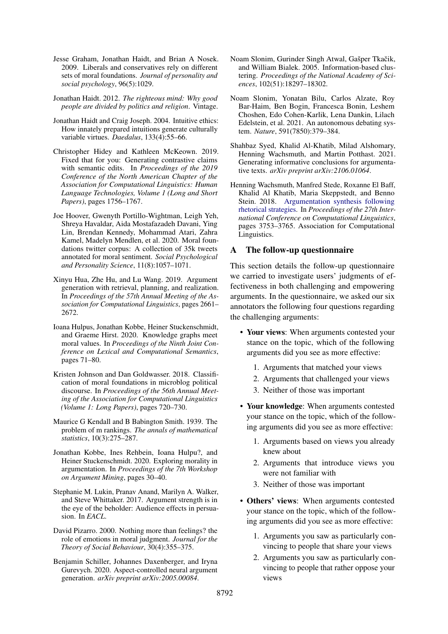- <span id="page-10-8"></span>Jesse Graham, Jonathan Haidt, and Brian A Nosek. 2009. Liberals and conservatives rely on different sets of moral foundations. *Journal of personality and social psychology*, 96(5):1029.
- <span id="page-10-1"></span>Jonathan Haidt. 2012. *The righteous mind: Why good people are divided by politics and religion*. Vintage.
- <span id="page-10-7"></span>Jonathan Haidt and Craig Joseph. 2004. Intuitive ethics: How innately prepared intuitions generate culturally variable virtues. *Daedalus*, 133(4):55–66.
- <span id="page-10-11"></span>Christopher Hidey and Kathleen McKeown. 2019. Fixed that for you: Generating contrastive claims with semantic edits. In *Proceedings of the 2019 Conference of the North American Chapter of the Association for Computational Linguistics: Human Language Technologies, Volume 1 (Long and Short Papers)*, pages 1756–1767.
- <span id="page-10-13"></span>Joe Hoover, Gwenyth Portillo-Wightman, Leigh Yeh, Shreya Havaldar, Aida Mostafazadeh Davani, Ying Lin, Brendan Kennedy, Mohammad Atari, Zahra Kamel, Madelyn Mendlen, et al. 2020. Moral foundations twitter corpus: A collection of 35k tweets annotated for moral sentiment. *Social Psychological and Personality Science*, 11(8):1057–1071.
- <span id="page-10-10"></span>Xinyu Hua, Zhe Hu, and Lu Wang. 2019. Argument generation with retrieval, planning, and realization. In *Proceedings of the 57th Annual Meeting of the Association for Computational Linguistics*, pages 2661– 2672.
- <span id="page-10-3"></span>Ioana Hulpus, Jonathan Kobbe, Heiner Stuckenschmidt, and Graeme Hirst. 2020. Knowledge graphs meet moral values. In *Proceedings of the Ninth Joint Conference on Lexical and Computational Semantics*, pages 71–80.
- <span id="page-10-9"></span>Kristen Johnson and Dan Goldwasser. 2018. Classification of moral foundations in microblog political discourse. In *Proceedings of the 56th Annual Meeting of the Association for Computational Linguistics (Volume 1: Long Papers)*, pages 720–730.
- <span id="page-10-15"></span>Maurice G Kendall and B Babington Smith. 1939. The problem of m rankings. *The annals of mathematical statistics*, 10(3):275–287.
- <span id="page-10-4"></span>Jonathan Kobbe, Ines Rehbein, Ioana Hulpu?, and Heiner Stuckenschmidt. 2020. Exploring morality in argumentation. In *Proceedings of the 7th Workshop on Argument Mining*, pages 30–40.
- <span id="page-10-6"></span>Stephanie M. Lukin, Pranav Anand, Marilyn A. Walker, and Steve Whittaker. 2017. Argument strength is in the eye of the beholder: Audience effects in persuasion. In *EACL*.
- <span id="page-10-16"></span>David Pizarro. 2000. Nothing more than feelings? the role of emotions in moral judgment. *Journal for the Theory of Social Behaviour*, 30(4):355–375.
- <span id="page-10-2"></span>Benjamin Schiller, Johannes Daxenberger, and Iryna Gurevych. 2020. Aspect-controlled neural argument generation. *arXiv preprint arXiv:2005.00084*.
- <span id="page-10-14"></span>Noam Slonim, Gurinder Singh Atwal, Gašper Tkačik, and William Bialek. 2005. Information-based clustering. *Proceedings of the National Academy of Sciences*, 102(51):18297–18302.
- <span id="page-10-0"></span>Noam Slonim, Yonatan Bilu, Carlos Alzate, Roy Bar-Haim, Ben Bogin, Francesca Bonin, Leshem Choshen, Edo Cohen-Karlik, Lena Dankin, Lilach Edelstein, et al. 2021. An autonomous debating system. *Nature*, 591(7850):379–384.
- <span id="page-10-12"></span>Shahbaz Syed, Khalid Al-Khatib, Milad Alshomary, Henning Wachsmuth, and Martin Potthast. 2021. Generating informative conclusions for argumentative texts. *arXiv preprint arXiv:2106.01064*.
- <span id="page-10-5"></span>Henning Wachsmuth, Manfred Stede, Roxanne El Baff, Khalid Al Khatib, Maria Skeppstedt, and Benno Stein. 2018. [Argumentation synthesis following](http://aclweb.org/anthology/C18-1318) [rhetorical strategies.](http://aclweb.org/anthology/C18-1318) In *Proceedings of the 27th International Conference on Computational Linguistics*, pages 3753–3765. Association for Computational Linguistics.

### A The follow-up questionnaire

This section details the follow-up questionnaire we carried to investigate users' judgments of effectiveness in both challenging and empowering arguments. In the questionnaire, we asked our six annotators the following four questions regarding the challenging arguments:

- Your views: When arguments contested your stance on the topic, which of the following arguments did you see as more effective:
	- 1. Arguments that matched your views
	- 2. Arguments that challenged your views
	- 3. Neither of those was important
- Your knowledge: When arguments contested your stance on the topic, which of the following arguments did you see as more effective:
	- 1. Arguments based on views you already knew about
	- 2. Arguments that introduce views you were not familiar with
	- 3. Neither of those was important
- Others' views: When arguments contested your stance on the topic, which of the following arguments did you see as more effective:
	- 1. Arguments you saw as particularly convincing to people that share your views
	- 2. Arguments you saw as particularly convincing to people that rather oppose your views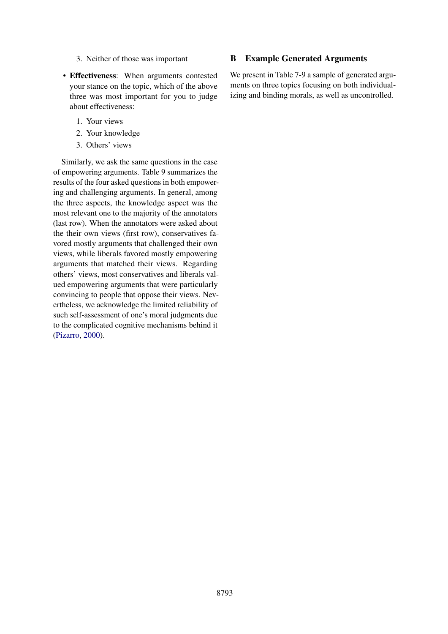- 3. Neither of those was important
- Effectiveness: When arguments contested your stance on the topic, which of the above three was most important for you to judge about effectiveness:
	- 1. Your views
	- 2. Your knowledge
	- 3. Others' views

Similarly, we ask the same questions in the case of empowering arguments. Table 9 summarizes the results of the four asked questions in both empowering and challenging arguments. In general, among the three aspects, the knowledge aspect was the most relevant one to the majority of the annotators (last row). When the annotators were asked about the their own views (first row), conservatives favored mostly arguments that challenged their own views, while liberals favored mostly empowering arguments that matched their views. Regarding others' views, most conservatives and liberals valued empowering arguments that were particularly convincing to people that oppose their views. Nevertheless, we acknowledge the limited reliability of such self-assessment of one's moral judgments due to the complicated cognitive mechanisms behind it [\(Pizarro,](#page-10-16) [2000\)](#page-10-16).

# B Example Generated Arguments

We present in Table 7-9 a sample of generated arguments on three topics focusing on both individualizing and binding morals, as well as uncontrolled.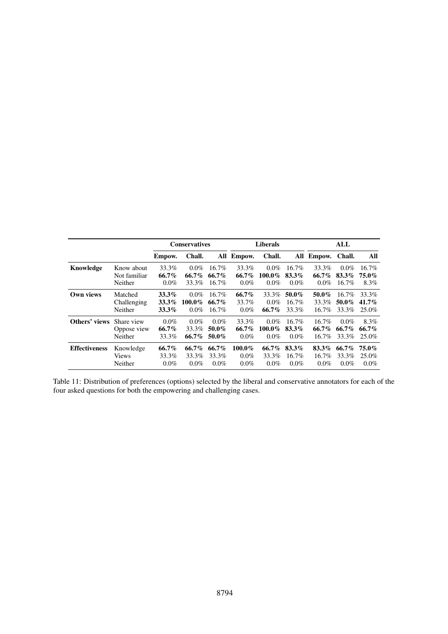|                      |              | <b>Conservatives</b> |           |          |            | <b>Liberals</b> |          | ALL        |          |          |  |
|----------------------|--------------|----------------------|-----------|----------|------------|-----------------|----------|------------|----------|----------|--|
|                      |              | Empow.               | Chall.    |          | All Empow. | Chall.          |          | All Empow. | Chall.   | All      |  |
| Knowledge            | Know about   | 33.3%                | $0.0\%$   | $16.7\%$ | 33.3%      | $0.0\%$         | $16.7\%$ | 33.3%      | $0.0\%$  | $16.7\%$ |  |
|                      | Not familiar | $66.7\%$             | 66.7%     | $66.7\%$ | $66.7\%$   | $100.0\%$       | 83.3%    | 66.7%      | 83.3%    | 75.0%    |  |
|                      | Neither      | $0.0\%$              | 33.3%     | $16.7\%$ | $0.0\%$    | $0.0\%$         | $0.0\%$  | $0.0\%$    | $16.7\%$ | 8.3%     |  |
| Own views            | Matched      | 33.3%                | $0.0\%$   | 16.7%    | $66.7\%$   | 33.3%           | 50.0%    | 50.0%      | $16.7\%$ | 33.3%    |  |
|                      | Challenging  | 33.3%                | $100.0\%$ | $66.7\%$ | 33.7%      | $0.0\%$         | $16.7\%$ | 33.3%      | 50.0%    | $41.7\%$ |  |
|                      | Neither      | $33.3\%$             | $0.0\%$   | $16.7\%$ | $0.0\%$    | $66.7\%$        | 33.3%    | $16.7\%$   | 33.3%    | 25.0%    |  |
| Others' views        | Share view   | $0.0\%$              | $0.0\%$   | $0.0\%$  | 33.3%      | $0.0\%$         | $16.7\%$ | $16.7\%$   | $0.0\%$  | 8.3%     |  |
|                      | Oppose view  | $66.7\%$             | 33.3%     | $50.0\%$ | $66.7\%$   | $100.0\%$       | 83.3%    | 66.7%      | $66.7\%$ | 66.7%    |  |
|                      | Neither      | 33.3%                | 66.7%     | 50.0%    | $0.0\%$    | $0.0\%$         | $0.0\%$  | $16.7\%$   | 33.3%    | 25.0%    |  |
| <b>Effectiveness</b> | Knowledge    | 66.7%                | 66.7%     | $66.7\%$ | $100.0\%$  | $66.7\%$        | 83.3%    | 83.3%      | 66.7%    | 75.0%    |  |
|                      | <b>Views</b> | 33.3%                | 33.3%     | 33.3%    | $0.0\%$    | 33.3%           | $16.7\%$ | $16.7\%$   | 33.3%    | 25.0%    |  |
|                      | Neither      | $0.0\%$              | $0.0\%$   | $0.0\%$  | $0.0\%$    | $0.0\%$         | $0.0\%$  | $0.0\%$    | $0.0\%$  | $0.0\%$  |  |

Table 11: Distribution of preferences (options) selected by the liberal and conservative annotators for each of the four asked questions for both the empowering and challenging cases.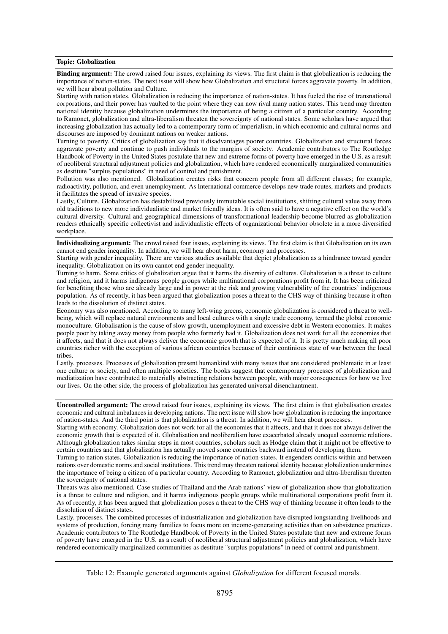#### Topic: Globalization

Binding argument: The crowd raised four issues, explaining its views. The first claim is that globalization is reducing the importance of nation-states. The next issue will show how Globalization and structural forces aggravate poverty. In addition, we will hear about pollution and Culture.

Starting with nation states. Globalization is reducing the importance of nation-states. It has fueled the rise of transnational corporations, and their power has vaulted to the point where they can now rival many nation states. This trend may threaten national identity because globalization undermines the importance of being a citizen of a particular country. According to Ramonet, globalization and ultra-liberalism threaten the sovereignty of national states. Some scholars have argued that increasing globalization has actually led to a contemporary form of imperialism, in which economic and cultural norms and discourses are imposed by dominant nations on weaker nations.

Turning to poverty. Critics of globalization say that it disadvantages poorer countries. Globalization and structural forces aggravate poverty and continue to push individuals to the margins of society. Academic contributors to The Routledge Handbook of Poverty in the United States postulate that new and extreme forms of poverty have emerged in the U.S. as a result of neoliberal structural adjustment policies and globalization, which have rendered economically marginalized communities as destitute "surplus populations" in need of control and punishment.

Pollution was also mentioned. Globalization creates risks that concern people from all different classes; for example, radioactivity, pollution, and even unemployment. As International commerce develops new trade routes, markets and products it facilitates the spread of invasive species.

Lastly, Culture. Globalization has destabilized previously immutable social institutions, shifting cultural value away from old traditions to new more individualistic and market friendly ideas. It is often said to have a negative effect on the world's cultural diversity. Cultural and geographical dimensions of transformational leadership become blurred as globalization renders ethnically specific collectivist and individualistic effects of organizational behavior obsolete in a more diversified workplace.

Individualizing argument: The crowd raised four issues, explaining its views. The first claim is that Globalization on its own cannot end gender inequality. In addition, we will hear about harm, economy and processes.

Starting with gender inequality. There are various studies available that depict globalization as a hindrance toward gender inequality. Globalization on its own cannot end gender inequality.

Turning to harm. Some critics of globalization argue that it harms the diversity of cultures. Globalization is a threat to culture and religion, and it harms indigenous people groups while multinational corporations profit from it. It has been criticized for benefiting those who are already large and in power at the risk and growing vulnerability of the countries' indigenous population. As of recently, it has been argued that globalization poses a threat to the CHS way of thinking because it often leads to the dissolution of distinct states.

Economy was also mentioned. According to many left-wing greens, economic globalization is considered a threat to wellbeing, which will replace natural environments and local cultures with a single trade economy, termed the global economic monoculture. Globalisation is the cause of slow growth, unemployment and excessive debt in Western economies. It makes people poor by taking away money from people who formerly had it. Globalization does not work for all the economies that it affects, and that it does not always deliver the economic growth that is expected of it. It is pretty much making all poor countries richer with the exception of various african countries because of their continious state of war between the local tribes.

Lastly, processes. Processes of globalization present humankind with many issues that are considered problematic in at least one culture or society, and often multiple societies. The books suggest that contemporary processes of globalization and mediatization have contributed to materially abstracting relations between people, with major consequences for how we live our lives. On the other side, the process of globalization has generated universal disenchantment.

Uncontrolled argument: The crowd raised four issues, explaining its views. The first claim is that globalisation creates economic and cultural imbalances in developing nations. The next issue will show how globalization is reducing the importance of nation-states. And the third point is that globalization is a threat. In addition, we will hear about processes.

Starting with economy. Globalization does not work for all the economies that it affects, and that it does not always deliver the economic growth that is expected of it. Globalisation and neoliberalism have exacerbated already unequal economic relations. Although globalization takes similar steps in most countries, scholars such as Hodge claim that it might not be effective to certain countries and that globalization has actually moved some countries backward instead of developing them.

Turning to nation states. Globalization is reducing the importance of nation-states. It engenders conflicts within and between nations over domestic norms and social institutions. This trend may threaten national identity because globalization undermines the importance of being a citizen of a particular country. According to Ramonet, globalization and ultra-liberalism threaten the sovereignty of national states.

Threats was also mentioned. Case studies of Thailand and the Arab nations' view of globalization show that globalization is a threat to culture and religion, and it harms indigenous people groups while multinational corporations profit from it. As of recently, it has been argued that globalization poses a threat to the CHS way of thinking because it often leads to the dissolution of distinct states.

Lastly, processes. The combined processes of industrialization and globalization have disrupted longstanding livelihoods and systems of production, forcing many families to focus more on income-generating activities than on subsistence practices. Academic contributors to The Routledge Handbook of Poverty in the United States postulate that new and extreme forms of poverty have emerged in the U.S. as a result of neoliberal structural adjustment policies and globalization, which have rendered economically marginalized communities as destitute "surplus populations" in need of control and punishment.

Table 12: Example generated arguments against *Globalization* for different focused morals.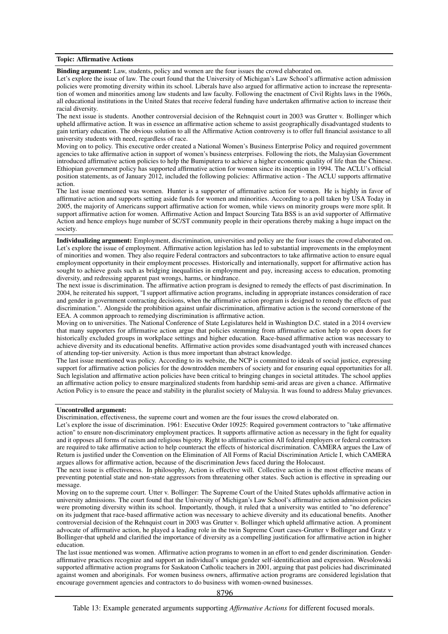#### Topic: Affirmative Actions

Binding argument: Law, students, policy and women are the four issues the crowd elaborated on.

Let's explore the issue of law. The court found that the University of Michigan's Law School's affirmative action admission policies were promoting diversity within its school. Liberals have also argued for affirmative action to increase the representation of women and minorities among law students and law faculty. Following the enactment of Civil Rights laws in the 1960s, all educational institutions in the United States that receive federal funding have undertaken affirmative action to increase their racial diversity.

The next issue is students. Another controversial decision of the Rehnquist court in 2003 was Grutter v. Bollinger which upheld affirmative action. It was in essence an affirmative action scheme to assist geographically disadvantaged students to gain tertiary education. The obvious solution to all the Affirmative Action controversy is to offer full financial assistance to all university students with need, regardless of race.

Moving on to policy. This executive order created a National Women's Business Enterprise Policy and required government agencies to take affirmative action in support of women's business enterprises. Following the riots, the Malaysian Government introduced affirmative action policies to help the Bumiputera to achieve a higher economic quality of life than the Chinese. Ethiopian government policy has supported affirmative action for women since its inception in 1994. The ACLU's official position statements, as of January 2012, included the following policies: Affirmative action - The ACLU supports affirmative action.

The last issue mentioned was women. Hunter is a supporter of affirmative action for women. He is highly in favor of affirmative action and supports setting aside funds for women and minorities. According to a poll taken by USA Today in 2005, the majority of Americans support affirmative action for women, while views on minority groups were more split. It support affirmative action for women. Affirmative Action and Impact Sourcing Tata BSS is an avid supporter of Affirmative Action and hence employs huge number of SC/ST community people in their operations thereby making a huge impact on the society.

Individualizing argument: Employment, discrimination, universities and policy are the four issues the crowd elaborated on. Let's explore the issue of employment. Affirmative action legislation has led to substantial improvements in the employment of minorities and women. They also require Federal contractors and subcontractors to take affirmative action to ensure equal employment opportunity in their employment processes. Historically and internationally, support for affirmative action has sought to achieve goals such as bridging inequalities in employment and pay, increasing access to education, promoting diversity, and redressing apparent past wrongs, harms, or hindrance.

The next issue is discrimination. The affirmative action program is designed to remedy the effects of past discrimination. In 2004, he reiterated his support, "I support affirmative action programs, including in appropriate instances consideration of race and gender in government contracting decisions, when the affirmative action program is designed to remedy the effects of past discrimination.". Alongside the prohibition against unfair discrimination, affirmative action is the second cornerstone of the EEA. A common approach to remedying discrimination is affirmative action.

Moving on to universities. The National Conference of State Legislatures held in Washington D.C. stated in a 2014 overview that many supporters for affirmative action argue that policies stemming from affirmative action help to open doors for historically excluded groups in workplace settings and higher education. Race-based affirmative action was necessary to achieve diversity and its educational benefits. Affirmative action provides some disadvantaged youth with increased chances of attending top-tier university. Action is thus more important than abstract knowledge.

The last issue mentioned was policy. According to its website, the NCP is committed to ideals of social justice, expressing support for affirmative action policies for the downtrodden members of society and for ensuring equal opportunities for all. Such legislation and affirmative action policies have been critical to bringing changes in societal attitudes. The school applies an affirmative action policy to ensure marginalized students from hardship semi-arid areas are given a chance. Affirmative Action Policy is to ensure the peace and stability in the pluralist society of Malaysia. It was found to address Malay grievances.

#### Uncontrolled argument:

Discrimination, effectiveness, the supreme court and women are the four issues the crowd elaborated on.

Let's explore the issue of discrimination. 1961: Executive Order 10925: Required government contractors to "take affirmative action" to ensure non-discriminatory employment practices. It supports affirmative action as necessary in the fight for equality and it opposes all forms of racism and religious bigotry. Right to affirmative action All federal employers or federal contractors are required to take affirmative action to help counteract the effects of historical discrimination. CAMERA argues the Law of Return is justified under the Convention on the Elimination of All Forms of Racial Discrimination Article I, which CAMERA argues allows for affirmative action, because of the discrimination Jews faced during the Holocaust.

The next issue is effectiveness. In philosophy, Action is effective will. Collective action is the most effective means of preventing potential state and non-state aggressors from threatening other states. Such action is effective in spreading our message.

Moving on to the supreme court. Utter v. Bollinger: The Supreme Court of the United States upholds affirmative action in university admissions. The court found that the University of Michigan's Law School's affirmative action admission policies were promoting diversity within its school. Importantly, though, it ruled that a university was entitled to "no deference" on its judgment that race-based affirmative action was necessary to achieve diversity and its educational benefits. Another controversial decision of the Rehnquist court in 2003 was Grutter v. Bollinger which upheld affirmative action. A prominent advocate of affirmative action, he played a leading role in the twin Supreme Court cases-Grutter v Bollinger and Gratz v Bollinger-that upheld and clarified the importance of diversity as a compelling justification for affirmative action in higher education.

The last issue mentioned was women. Affirmative action programs to women in an effort to end gender discrimination. Genderaffirmative practices recognize and support an individual's unique gender self-identification and expression. Wesolowski supported affirmative action programs for Saskatoon Catholic teachers in 2001, arguing that past policies had discriminated against women and aboriginals. For women business owners, affirmative action programs are considered legislation that encourage government agencies and contractors to do business with women-owned businesses.

8796